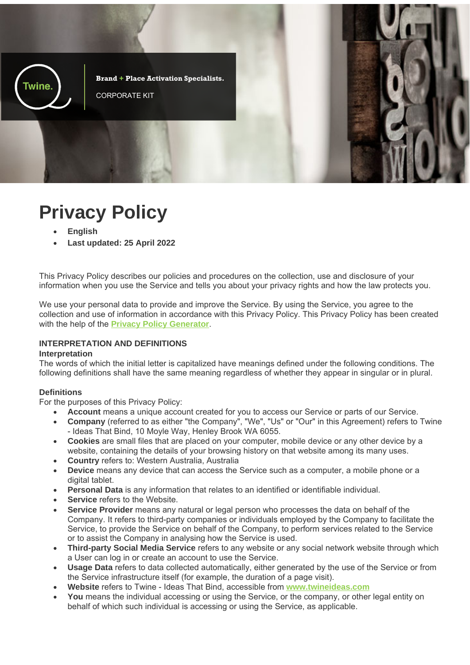

# **Privacy Policy**

- **English**
- **Last updated: 25 April 2022**

This Privacy Policy describes our policies and procedures on the collection, use and disclosure of your information when you use the Service and tells you about your privacy rights and how the law protects you.

We use your personal data to provide and improve the Service. By using the Service, you agree to the collection and use of information in accordance with this Privacy Policy. This Privacy Policy has been created with the help of the **Privacy Policy Generator**.

## **INTERPRETATION AND DEFINITIONS**

#### **Interpretation**

The words of which the initial letter is capitalized have meanings defined under the following conditions. The following definitions shall have the same meaning regardless of whether they appear in singular or in plural.

#### **Definitions**

For the purposes of this Privacy Policy:

- Account means a unique account created for you to access our Service or parts of our Service.
- **Company** (referred to as either "the Company", "We", "Us" or "Our" in this Agreement) refers to Twine - Ideas That Bind, 10 Moyle Way, Henley Brook WA 6055.
- **Cookies** are small files that are placed on your computer, mobile device or any other device by a website, containing the details of your browsing history on that website among its many uses.
- **Country** refers to: Western Australia, Australia
- **Device** means any device that can access the Service such as a computer, a mobile phone or a digital tablet.
- **Personal Data** is any information that relates to an identified or identifiable individual.
- **Service** refers to the Website.
- **Service Provider** means any natural or legal person who processes the data on behalf of the Company. It refers to third-party companies or individuals employed by the Company to facilitate the Service, to provide the Service on behalf of the Company, to perform services related to the Service or to assist the Company in analysing how the Service is used.
- **Third-party Social Media Service** refers to any website or any social network website through which a User can log in or create an account to use the Service.
- **Usage Data** refers to data collected automatically, either generated by the use of the Service or from the Service infrastructure itself (for example, the duration of a page visit).
- **Website** refers to Twine Ideas That Bind, accessible from **www.twineideas.com**
- **You** means the individual accessing or using the Service, or the company, or other legal entity on behalf of which such individual is accessing or using the Service, as applicable.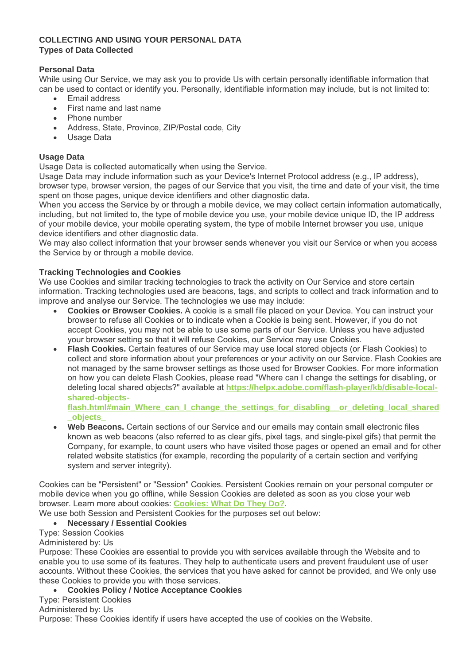# **COLLECTING AND USING YOUR PERSONAL DATA Types of Data Collected**

## **Personal Data**

While using Our Service, we may ask you to provide Us with certain personally identifiable information that can be used to contact or identify you. Personally, identifiable information may include, but is not limited to:

- Email address
- First name and last name
- Phone number
- Address, State, Province, ZIP/Postal code, City
- Usage Data

## **Usage Data**

Usage Data is collected automatically when using the Service.

Usage Data may include information such as your Device's Internet Protocol address (e.g., IP address), browser type, browser version, the pages of our Service that you visit, the time and date of your visit, the time spent on those pages, unique device identifiers and other diagnostic data.

When you access the Service by or through a mobile device, we may collect certain information automatically, including, but not limited to, the type of mobile device you use, your mobile device unique ID, the IP address of your mobile device, your mobile operating system, the type of mobile Internet browser you use, unique device identifiers and other diagnostic data.

We may also collect information that your browser sends whenever you visit our Service or when you access the Service by or through a mobile device.

## **Tracking Technologies and Cookies**

We use Cookies and similar tracking technologies to track the activity on Our Service and store certain information. Tracking technologies used are beacons, tags, and scripts to collect and track information and to improve and analyse our Service. The technologies we use may include:

- **Cookies or Browser Cookies.** A cookie is a small file placed on your Device. You can instruct your browser to refuse all Cookies or to indicate when a Cookie is being sent. However, if you do not accept Cookies, you may not be able to use some parts of our Service. Unless you have adjusted your browser setting so that it will refuse Cookies, our Service may use Cookies.
- **Flash Cookies.** Certain features of our Service may use local stored objects (or Flash Cookies) to collect and store information about your preferences or your activity on our Service. Flash Cookies are not managed by the same browser settings as those used for Browser Cookies. For more information on how you can delete Flash Cookies, please read "Where can I change the settings for disabling, or deleting local shared objects?" available at **https://helpx.adobe.com/flash-player/kb/disable-localshared-objects-**

**flash.html#main\_Where\_can\_I\_change\_the\_settings\_for\_disabling\_\_or\_deleting\_local\_shared \_objects\_**

 **Web Beacons.** Certain sections of our Service and our emails may contain small electronic files known as web beacons (also referred to as clear gifs, pixel tags, and single-pixel gifs) that permit the Company, for example, to count users who have visited those pages or opened an email and for other related website statistics (for example, recording the popularity of a certain section and verifying system and server integrity).

Cookies can be "Persistent" or "Session" Cookies. Persistent Cookies remain on your personal computer or mobile device when you go offline, while Session Cookies are deleted as soon as you close your web browser. Learn more about cookies: **Cookies: What Do They Do?**.

We use both Session and Persistent Cookies for the purposes set out below:

## **Necessary / Essential Cookies**

Type: Session Cookies

Administered by: Us

Purpose: These Cookies are essential to provide you with services available through the Website and to enable you to use some of its features. They help to authenticate users and prevent fraudulent use of user accounts. Without these Cookies, the services that you have asked for cannot be provided, and We only use these Cookies to provide you with those services.

## **Cookies Policy / Notice Acceptance Cookies**

Type: Persistent Cookies

Administered by: Us

Purpose: These Cookies identify if users have accepted the use of cookies on the Website.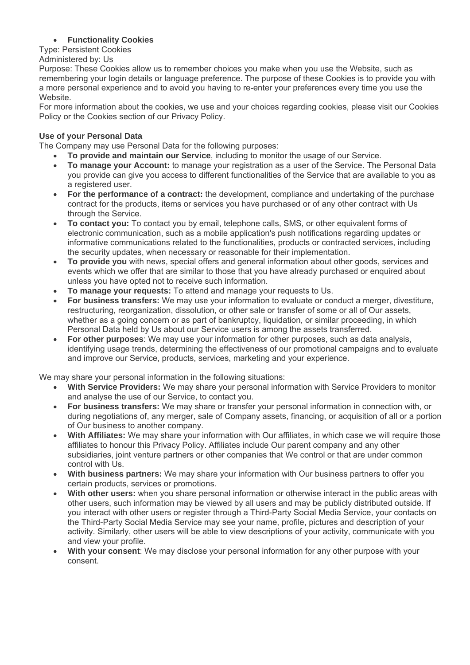# **Functionality Cookies**

Type: Persistent Cookies

Administered by: Us

Purpose: These Cookies allow us to remember choices you make when you use the Website, such as remembering your login details or language preference. The purpose of these Cookies is to provide you with a more personal experience and to avoid you having to re-enter your preferences every time you use the Website.

For more information about the cookies, we use and your choices regarding cookies, please visit our Cookies Policy or the Cookies section of our Privacy Policy.

## **Use of your Personal Data**

The Company may use Personal Data for the following purposes:

- **To provide and maintain our Service**, including to monitor the usage of our Service.
- **To manage your Account:** to manage your registration as a user of the Service. The Personal Data you provide can give you access to different functionalities of the Service that are available to you as a registered user.
- **For the performance of a contract:** the development, compliance and undertaking of the purchase contract for the products, items or services you have purchased or of any other contract with Us through the Service.
- **To contact you:** To contact you by email, telephone calls, SMS, or other equivalent forms of electronic communication, such as a mobile application's push notifications regarding updates or informative communications related to the functionalities, products or contracted services, including the security updates, when necessary or reasonable for their implementation.
- **To provide you** with news, special offers and general information about other goods, services and events which we offer that are similar to those that you have already purchased or enquired about unless you have opted not to receive such information.
- **To manage your requests:** To attend and manage your requests to Us.
- **For business transfers:** We may use your information to evaluate or conduct a merger, divestiture, restructuring, reorganization, dissolution, or other sale or transfer of some or all of Our assets, whether as a going concern or as part of bankruptcy, liquidation, or similar proceeding, in which Personal Data held by Us about our Service users is among the assets transferred.
- **For other purposes**: We may use your information for other purposes, such as data analysis, identifying usage trends, determining the effectiveness of our promotional campaigns and to evaluate and improve our Service, products, services, marketing and your experience.

We may share your personal information in the following situations:

- **With Service Providers:** We may share your personal information with Service Providers to monitor and analyse the use of our Service, to contact you.
- **For business transfers:** We may share or transfer your personal information in connection with, or during negotiations of, any merger, sale of Company assets, financing, or acquisition of all or a portion of Our business to another company.
- **With Affiliates:** We may share your information with Our affiliates, in which case we will require those affiliates to honour this Privacy Policy. Affiliates include Our parent company and any other subsidiaries, joint venture partners or other companies that We control or that are under common control with Us.
- **With business partners:** We may share your information with Our business partners to offer you certain products, services or promotions.
- **With other users:** when you share personal information or otherwise interact in the public areas with other users, such information may be viewed by all users and may be publicly distributed outside. If you interact with other users or register through a Third-Party Social Media Service, your contacts on the Third-Party Social Media Service may see your name, profile, pictures and description of your activity. Similarly, other users will be able to view descriptions of your activity, communicate with you and view your profile.
- **With your consent**: We may disclose your personal information for any other purpose with your consent.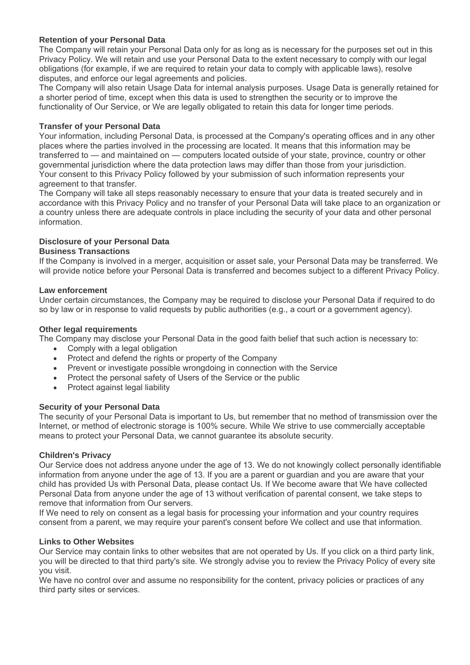## **Retention of your Personal Data**

The Company will retain your Personal Data only for as long as is necessary for the purposes set out in this Privacy Policy. We will retain and use your Personal Data to the extent necessary to comply with our legal obligations (for example, if we are required to retain your data to comply with applicable laws), resolve disputes, and enforce our legal agreements and policies.

The Company will also retain Usage Data for internal analysis purposes. Usage Data is generally retained for a shorter period of time, except when this data is used to strengthen the security or to improve the functionality of Our Service, or We are legally obligated to retain this data for longer time periods.

# **Transfer of your Personal Data**

Your information, including Personal Data, is processed at the Company's operating offices and in any other places where the parties involved in the processing are located. It means that this information may be transferred to — and maintained on — computers located outside of your state, province, country or other governmental jurisdiction where the data protection laws may differ than those from your jurisdiction. Your consent to this Privacy Policy followed by your submission of such information represents your agreement to that transfer.

The Company will take all steps reasonably necessary to ensure that your data is treated securely and in accordance with this Privacy Policy and no transfer of your Personal Data will take place to an organization or a country unless there are adequate controls in place including the security of your data and other personal information.

## **Disclosure of your Personal Data**

## **Business Transactions**

If the Company is involved in a merger, acquisition or asset sale, your Personal Data may be transferred. We will provide notice before your Personal Data is transferred and becomes subject to a different Privacy Policy.

## **Law enforcement**

Under certain circumstances, the Company may be required to disclose your Personal Data if required to do so by law or in response to valid requests by public authorities (e.g., a court or a government agency).

#### **Other legal requirements**

The Company may disclose your Personal Data in the good faith belief that such action is necessary to:

- Comply with a legal obligation
- Protect and defend the rights or property of the Company
- Prevent or investigate possible wrongdoing in connection with the Service
- Protect the personal safety of Users of the Service or the public
- Protect against legal liability

## **Security of your Personal Data**

The security of your Personal Data is important to Us, but remember that no method of transmission over the Internet, or method of electronic storage is 100% secure. While We strive to use commercially acceptable means to protect your Personal Data, we cannot guarantee its absolute security.

#### **Children's Privacy**

Our Service does not address anyone under the age of 13. We do not knowingly collect personally identifiable information from anyone under the age of 13. If you are a parent or guardian and you are aware that your child has provided Us with Personal Data, please contact Us. If We become aware that We have collected Personal Data from anyone under the age of 13 without verification of parental consent, we take steps to remove that information from Our servers.

If We need to rely on consent as a legal basis for processing your information and your country requires consent from a parent, we may require your parent's consent before We collect and use that information.

#### **Links to Other Websites**

Our Service may contain links to other websites that are not operated by Us. If you click on a third party link, you will be directed to that third party's site. We strongly advise you to review the Privacy Policy of every site you visit.

We have no control over and assume no responsibility for the content, privacy policies or practices of any third party sites or services.